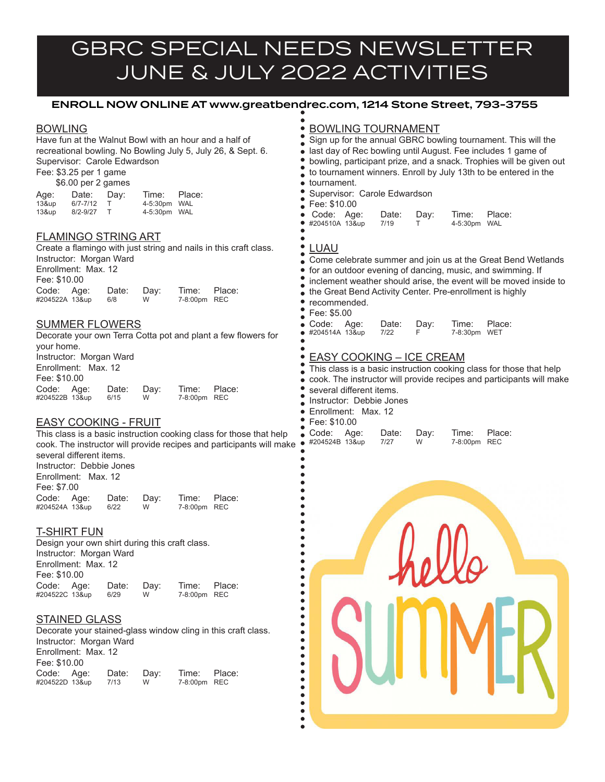# GBRC SPECIAL NEEDS NEWSLETTER JUNE & JULY 2022 ACTIVITIES

# ENROLL NOW ONLINE AT www.greatbendrec.com, 1214 Stone Street, 793-3755

#### BOWLING

Have fun at the Walnut Bowl with an hour and a half of recreational bowling. No Bowling July 5, July 26, & Sept. 6. Supervisor: Carole Edwardson

Fee: \$3.25 per 1 game \$6.00 per 2 games

|       | $40.000$ $p = 90.0000$ |      |              |        |
|-------|------------------------|------|--------------|--------|
| Age:  | Date:                  | Day: | Time:        | Place: |
| 13&up | $6/7 - 7/12$           |      | 4-5:30pm WAL |        |
| 13&up | $8/2 - 9/27$           |      | 4-5:30pm WAL |        |

#### FLAMINGO STRING ART

Create a flamingo with just string and nails in this craft class. Instructor: Morgan Ward Enrollment: Max. 12 Fee: \$10.00 Code: Age: Date: Day: Time: Place:<br>#204522A 13&up 6/8 W 7-8:00pm REC #204522A 13&up

#### SUMMER FLOWERS

Decorate your own Terra Cotta pot and plant a few flowers for your home. Instructor: Morgan Ward Enrollment: Max. 12 Fee: \$10.00 Code: Age: Date: Day: Time: Place:<br>#204522B 13&up 6/15 W 7-8:00pm REC #204522B 13&up

### EASY COOKING - FRUIT

This class is a basic instruction cooking class for those that help cook. The instructor will provide recipes and participants will mak several different items. Instructor: Debbie Jones Enrollment: Max. 12 Fee: \$7.00 Code: Age: Date: Day: Time: Place:<br>#204524A 13&up 6/22 W 7-8:00pm REC

# T-SHIRT FUN

#204524A 13&up

Design your own shirt during this craft class. Instructor: Morgan Ward Enrollment: Max. 12 Fee: \$10.00 Code: Age: Date: Day: Time: Place:<br>#204522C 13&up 6/29 W 7-8:00pm REC #204522C 13&up

### **STAINED GLASS**

Decorate your stained-glass window cling in this craft class. Instructor: Morgan Ward Enrollment: Max. 12 Fee: \$10.00 Code: Age: Date: Day: Time: Place:<br>#204522D 13&up 7/13 W 7-8:00pm REC #204522D 13&up

# **BOWLING TOURNAMENT**

| $\bullet$ | · tournament.                                                        |                     |                                               |           |                       | Sign up for the annual GBRC bowling tournament. This will the<br>last day of Rec bowling until August. Fee includes 1 game of<br>bowling, participant prize, and a snack. Trophies will be given out<br>to tournament winners. Enroll by July 13th to be entered in the |
|-----------|----------------------------------------------------------------------|---------------------|-----------------------------------------------|-----------|-----------------------|-------------------------------------------------------------------------------------------------------------------------------------------------------------------------------------------------------------------------------------------------------------------------|
|           | Fee: \$10.00<br>Code: Age:<br>#204510A 13&up                         |                     | Supervisor: Carole Edwardson<br>Date:<br>7/19 | Day:<br>Т | Time:<br>4-5:30pm WAL | Place:                                                                                                                                                                                                                                                                  |
|           | <b>LUAU</b><br>cecommended.<br>Fee: \$5.00                           |                     |                                               |           |                       | Come celebrate summer and join us at the Great Bend Wetlands<br>for an outdoor evening of dancing, music, and swimming. If<br>inclement weather should arise, the event will be moved inside to<br>the Great Bend Activity Center. Pre-enrollment is highly             |
|           | Code:<br>#204514A 13&up                                              | Age:                | Date:<br>7/22                                 | Day:<br>F | Time:<br>7-8:30pm     | Place:<br>WET                                                                                                                                                                                                                                                           |
| ●         | several different items.<br>Instructor: Debbie Jones<br>Fee: \$10.00 | Enrollment: Max. 12 | <b>EASY COOKING - ICE CREAM</b>               |           |                       | This class is a basic instruction cooking class for those that help<br>cook. The instructor will provide recipes and participants will make                                                                                                                             |
| œ         | Code:<br>#204524B 13&up                                              | Age:                | Date:<br>7/27                                 | Day:<br>W | Time:<br>7-8:00pm     | Place:<br><b>REC</b>                                                                                                                                                                                                                                                    |
|           |                                                                      |                     |                                               |           |                       | SUMMER                                                                                                                                                                                                                                                                  |